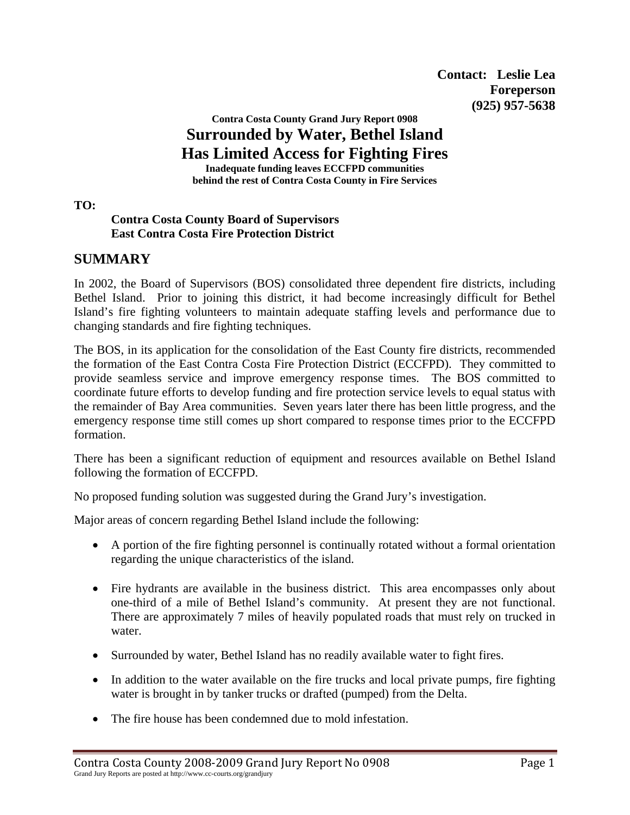**Contact: Leslie Lea Foreperson (925) 957-5638** 

## **Contra Costa County Grand Jury Report 0908 Surrounded by Water, Bethel Island Has Limited Access for Fighting Fires**

**Inadequate funding leaves ECCFPD communities behind the rest of Contra Costa County in Fire Services** 

**TO:** 

### **Contra Costa County Board of Supervisors East Contra Costa Fire Protection District**

# **SUMMARY**

In 2002, the Board of Supervisors (BOS) consolidated three dependent fire districts, including Bethel Island. Prior to joining this district, it had become increasingly difficult for Bethel Island's fire fighting volunteers to maintain adequate staffing levels and performance due to changing standards and fire fighting techniques.

The BOS, in its application for the consolidation of the East County fire districts, recommended the formation of the East Contra Costa Fire Protection District (ECCFPD). They committed to provide seamless service and improve emergency response times. The BOS committed to coordinate future efforts to develop funding and fire protection service levels to equal status with the remainder of Bay Area communities. Seven years later there has been little progress, and the emergency response time still comes up short compared to response times prior to the ECCFPD formation.

There has been a significant reduction of equipment and resources available on Bethel Island following the formation of ECCFPD.

No proposed funding solution was suggested during the Grand Jury's investigation.

Major areas of concern regarding Bethel Island include the following:

- A portion of the fire fighting personnel is continually rotated without a formal orientation regarding the unique characteristics of the island.
- Fire hydrants are available in the business district. This area encompasses only about one-third of a mile of Bethel Island's community. At present they are not functional. There are approximately 7 miles of heavily populated roads that must rely on trucked in water.
- Surrounded by water, Bethel Island has no readily available water to fight fires.
- In addition to the water available on the fire trucks and local private pumps, fire fighting water is brought in by tanker trucks or drafted (pumped) from the Delta.
- The fire house has been condemned due to mold infestation.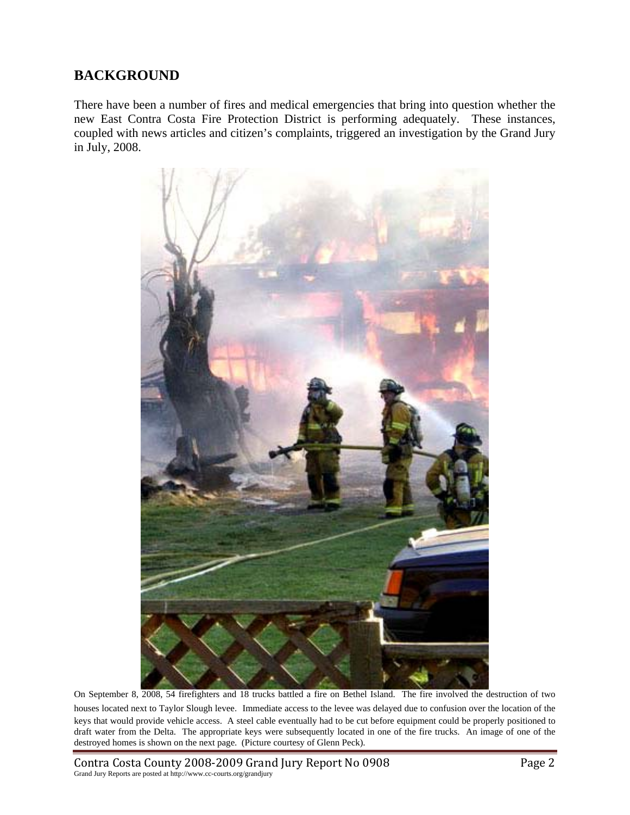## **BACKGROUND**

There have been a number of fires and medical emergencies that bring into question whether the new East Contra Costa Fire Protection District is performing adequately. These instances, coupled with news articles and citizen's complaints, triggered an investigation by the Grand Jury in July, 2008.



On September 8, 2008, 54 firefighters and 18 trucks battled a fire on Bethel Island. The fire involved the destruction of two houses located next to Taylor Slough levee. Immediate access to the levee was delayed due to confusion over the location of the keys that would provide vehicle access. A steel cable eventually had to be cut before equipment could be properly positioned to draft water from the Delta. The appropriate keys were subsequently located in one of the fire trucks. An image of one of the destroyed homes is shown on the next page. (Picture courtesy of Glenn Peck).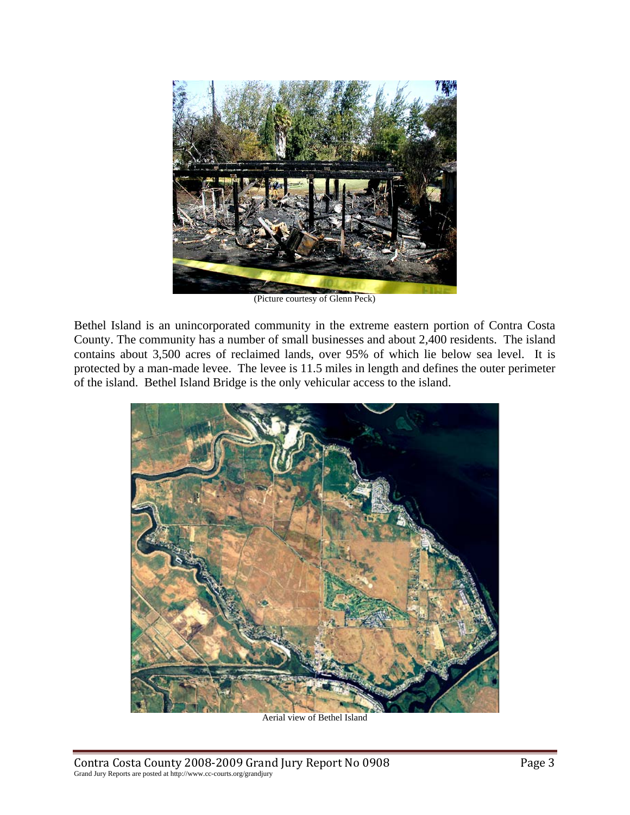

(Picture courtesy of Glenn Peck)

Bethel Island is an unincorporated community in the extreme eastern portion of Contra Costa County. The community has a number of small businesses and about 2,400 residents. The island contains about 3,500 acres of reclaimed lands, over 95% of which lie below sea level. It is protected by a man-made levee. The levee is 11.5 miles in length and defines the outer perimeter of the island. Bethel Island Bridge is the only vehicular access to the island.



Aerial view of Bethel Island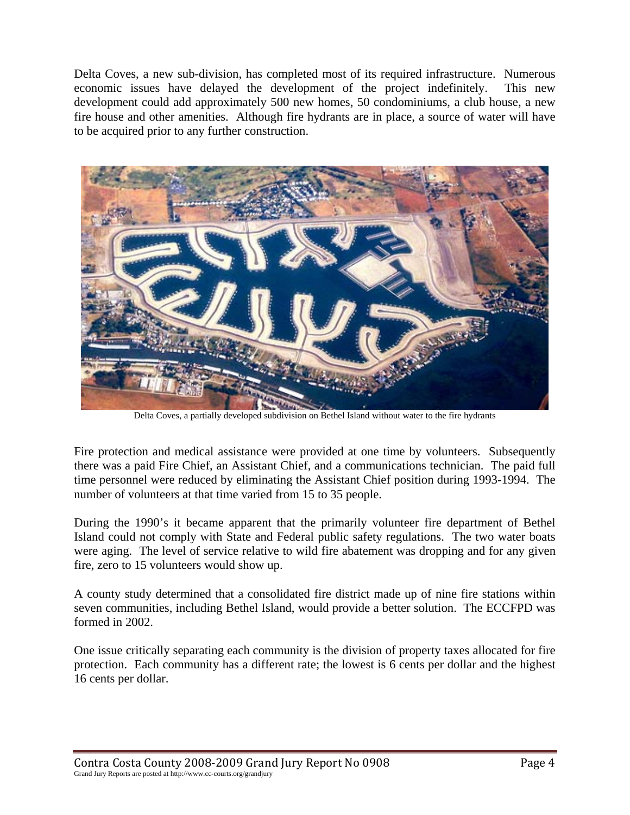Delta Coves, a new sub-division, has completed most of its required infrastructure. Numerous economic issues have delayed the development of the project indefinitely. This new development could add approximately 500 new homes, 50 condominiums, a club house, a new fire house and other amenities. Although fire hydrants are in place, a source of water will have to be acquired prior to any further construction.



Delta Coves, a partially developed subdivision on Bethel Island without water to the fire hydrants

Fire protection and medical assistance were provided at one time by volunteers. Subsequently there was a paid Fire Chief, an Assistant Chief, and a communications technician. The paid full time personnel were reduced by eliminating the Assistant Chief position during 1993-1994. The number of volunteers at that time varied from 15 to 35 people.

During the 1990's it became apparent that the primarily volunteer fire department of Bethel Island could not comply with State and Federal public safety regulations. The two water boats were aging. The level of service relative to wild fire abatement was dropping and for any given fire, zero to 15 volunteers would show up.

A county study determined that a consolidated fire district made up of nine fire stations within seven communities, including Bethel Island, would provide a better solution. The ECCFPD was formed in 2002.

One issue critically separating each community is the division of property taxes allocated for fire protection. Each community has a different rate; the lowest is 6 cents per dollar and the highest 16 cents per dollar.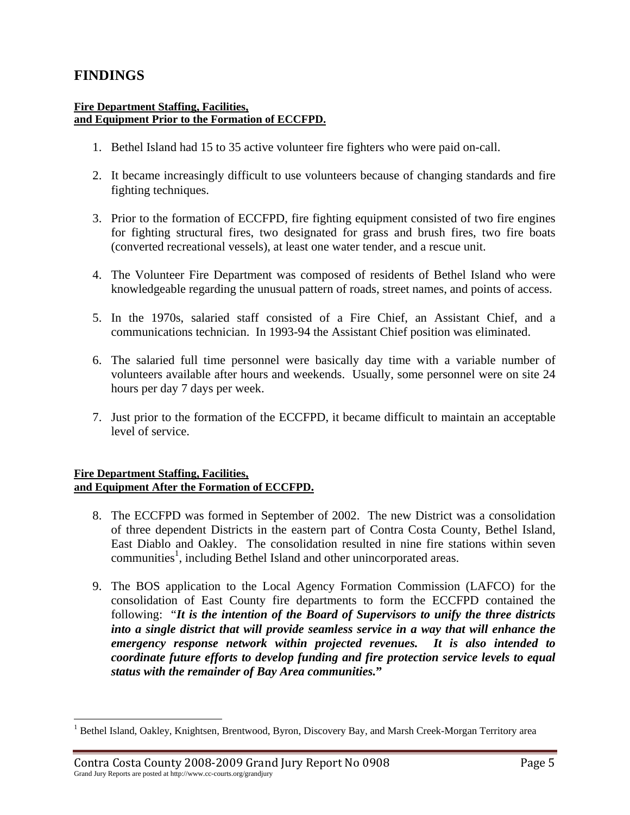## **FINDINGS**

1

#### **Fire Department Staffing, Facilities, and Equipment Prior to the Formation of ECCFPD.**

- 1. Bethel Island had 15 to 35 active volunteer fire fighters who were paid on-call.
- 2. It became increasingly difficult to use volunteers because of changing standards and fire fighting techniques.
- 3. Prior to the formation of ECCFPD, fire fighting equipment consisted of two fire engines for fighting structural fires, two designated for grass and brush fires, two fire boats (converted recreational vessels), at least one water tender, and a rescue unit.
- 4. The Volunteer Fire Department was composed of residents of Bethel Island who were knowledgeable regarding the unusual pattern of roads, street names, and points of access.
- 5. In the 1970s, salaried staff consisted of a Fire Chief, an Assistant Chief, and a communications technician. In 1993-94 the Assistant Chief position was eliminated.
- 6. The salaried full time personnel were basically day time with a variable number of volunteers available after hours and weekends. Usually, some personnel were on site 24 hours per day 7 days per week.
- 7. Just prior to the formation of the ECCFPD, it became difficult to maintain an acceptable level of service.

### **Fire Department Staffing, Facilities, and Equipment After the Formation of ECCFPD.**

- 8. The ECCFPD was formed in September of 2002. The new District was a consolidation of three dependent Districts in the eastern part of Contra Costa County, Bethel Island, East Diablo and Oakley. The consolidation resulted in nine fire stations within seven communities<sup>1</sup>, including Bethel Island and other unincorporated areas.
- 9. The BOS application to the Local Agency Formation Commission (LAFCO) for the consolidation of East County fire departments to form the ECCFPD contained the following: "*It is the intention of the Board of Supervisors to unify the three districts into a single district that will provide seamless service in a way that will enhance the emergency response network within projected revenues. It is also intended to coordinate future efforts to develop funding and fire protection service levels to equal status with the remainder of Bay Area communities.***"**

<sup>&</sup>lt;sup>1</sup> Bethel Island, Oakley, Knightsen, Brentwood, Byron, Discovery Bay, and Marsh Creek-Morgan Territory area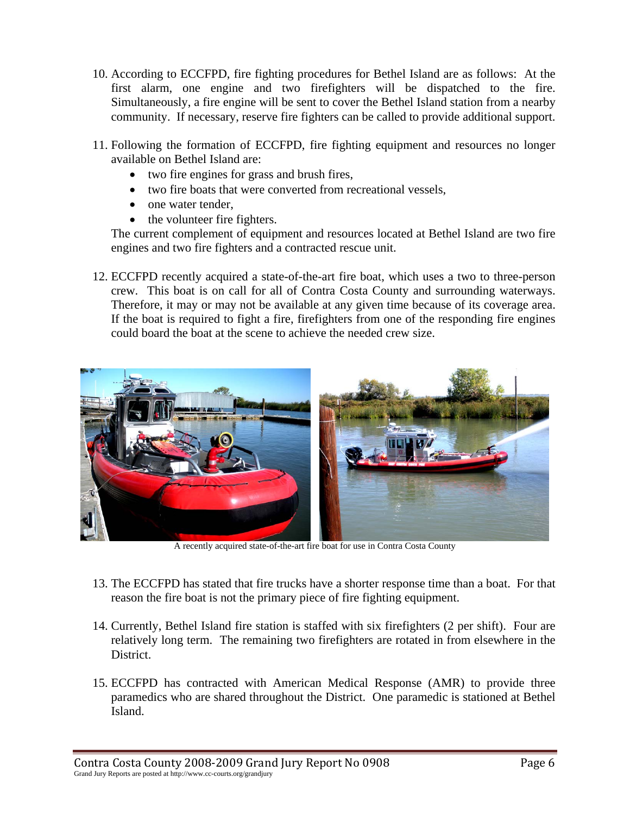- 10. According to ECCFPD, fire fighting procedures for Bethel Island are as follows: At the first alarm, one engine and two firefighters will be dispatched to the fire. Simultaneously, a fire engine will be sent to cover the Bethel Island station from a nearby community. If necessary, reserve fire fighters can be called to provide additional support.
- 11. Following the formation of ECCFPD, fire fighting equipment and resources no longer available on Bethel Island are:
	- two fire engines for grass and brush fires,
	- two fire boats that were converted from recreational vessels,
	- one water tender,
	- the volunteer fire fighters.

The current complement of equipment and resources located at Bethel Island are two fire engines and two fire fighters and a contracted rescue unit.

12. ECCFPD recently acquired a state-of-the-art fire boat, which uses a two to three-person crew. This boat is on call for all of Contra Costa County and surrounding waterways. Therefore, it may or may not be available at any given time because of its coverage area. If the boat is required to fight a fire, firefighters from one of the responding fire engines could board the boat at the scene to achieve the needed crew size.



A recently acquired state-of-the-art fire boat for use in Contra Costa County

- 13. The ECCFPD has stated that fire trucks have a shorter response time than a boat. For that reason the fire boat is not the primary piece of fire fighting equipment.
- 14. Currently, Bethel Island fire station is staffed with six firefighters (2 per shift). Four are relatively long term. The remaining two firefighters are rotated in from elsewhere in the District.
- 15. ECCFPD has contracted with American Medical Response (AMR) to provide three paramedics who are shared throughout the District. One paramedic is stationed at Bethel Island.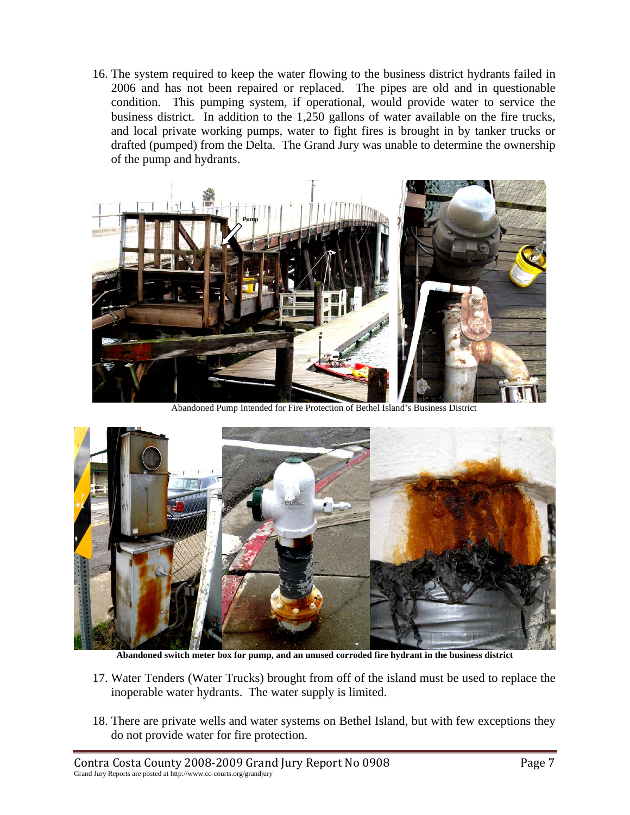16. The system required to keep the water flowing to the business district hydrants failed in 2006 and has not been repaired or replaced. The pipes are old and in questionable condition. This pumping system, if operational, would provide water to service the business district. In addition to the 1,250 gallons of water available on the fire trucks, and local private working pumps, water to fight fires is brought in by tanker trucks or drafted (pumped) from the Delta. The Grand Jury was unable to determine the ownership of the pump and hydrants.



Abandoned Pump Intended for Fire Protection of Bethel Island's Business District



**Abandoned switch meter box for pump, and an unused corroded fire hydrant in the business district** 

- 17. Water Tenders (Water Trucks) brought from off of the island must be used to replace the inoperable water hydrants. The water supply is limited.
- 18. There are private wells and water systems on Bethel Island, but with few exceptions they do not provide water for fire protection.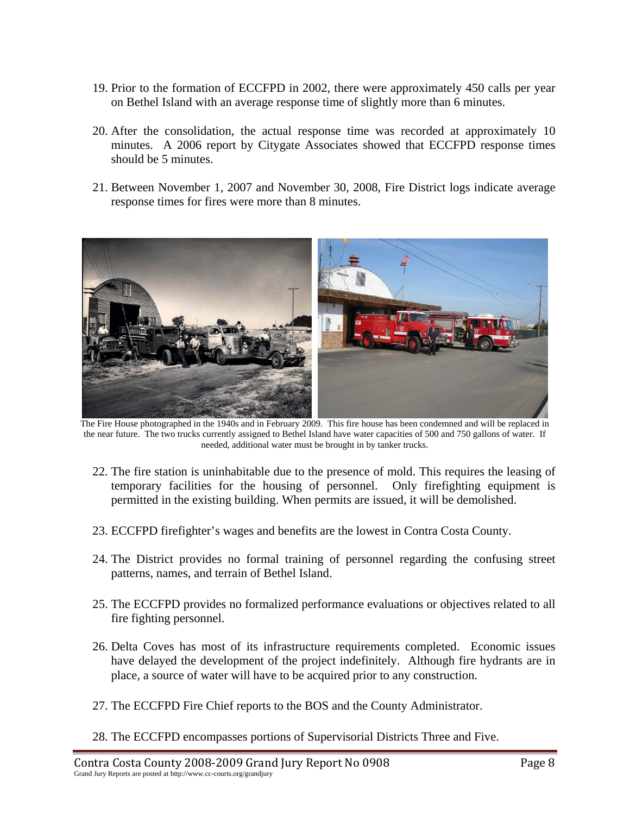- 19. Prior to the formation of ECCFPD in 2002, there were approximately 450 calls per year on Bethel Island with an average response time of slightly more than 6 minutes.
- 20. After the consolidation, the actual response time was recorded at approximately 10 minutes. A 2006 report by Citygate Associates showed that ECCFPD response times should be 5 minutes.
- 21. Between November 1, 2007 and November 30, 2008, Fire District logs indicate average response times for fires were more than 8 minutes.



 The Fire House photographed in the 1940s and in February 2009. This fire house has been condemned and will be replaced in the near future. The two trucks currently assigned to Bethel Island have water capacities of 500 and 750 gallons of water. If needed, additional water must be brought in by tanker trucks.

- 22. The fire station is uninhabitable due to the presence of mold. This requires the leasing of temporary facilities for the housing of personnel. Only firefighting equipment is permitted in the existing building. When permits are issued, it will be demolished.
- 23. ECCFPD firefighter's wages and benefits are the lowest in Contra Costa County.
- 24. The District provides no formal training of personnel regarding the confusing street patterns, names, and terrain of Bethel Island.
- 25. The ECCFPD provides no formalized performance evaluations or objectives related to all fire fighting personnel.
- 26. Delta Coves has most of its infrastructure requirements completed. Economic issues have delayed the development of the project indefinitely. Although fire hydrants are in place, a source of water will have to be acquired prior to any construction.
- 27. The ECCFPD Fire Chief reports to the BOS and the County Administrator.
- 28. The ECCFPD encompasses portions of Supervisorial Districts Three and Five.